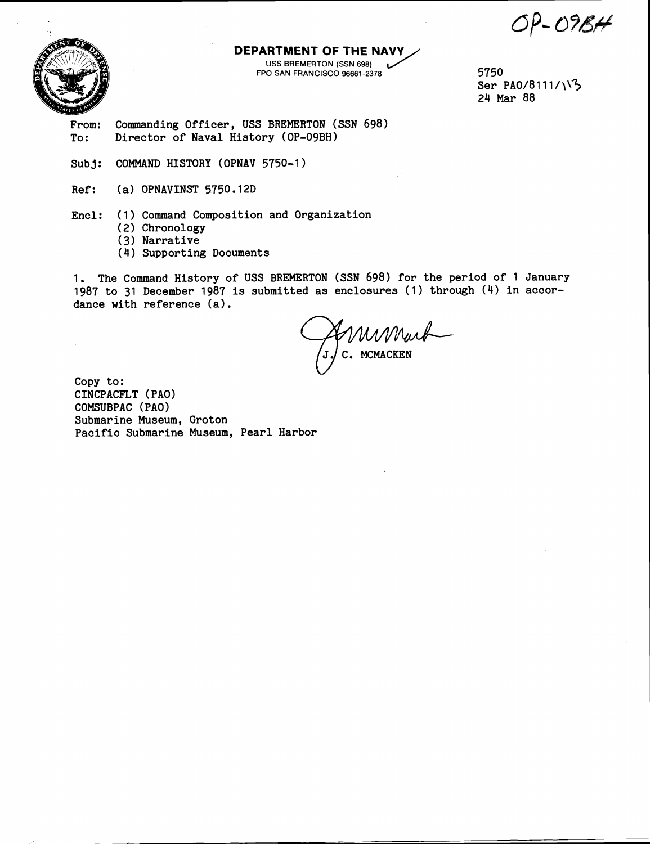$OP$ -09 $BA$ 



## **DEPARTMENT OF THE NAVY**

USS BREMERTON (SSN 698) FPO SAN FRANCISCO 96661-2378 **5750** 

Ser PA0/8111/113 **24 Mar 88** 

**From: Commanding Officer, USS BREMERTON (SSN 698) To: Director of Naval History (OP-09BH)** 

**Subj: COMMAND HISTORY (OPNAV 5750-1)** 

**Ref: (a) OPNAVINST 5750.12D** 

**Encl: (1) Command Composition and Organization** 

- **(2) Chronology**
- **(3) Narrative**
- **(4) Supporting Documents**

**1. The Command History of USS BREMERTON (SSN 698) for the period of 1 January 1987 to 31 December 1987 is submitted as enclosures (1) through (4) in accordance with reference (a).** 

EMMMuch

**Copy to: CINCPACFLT** ( **PA0** ) **COMSUBPAC (PA01 Submarine Museum, Groton Pacific Submarine Museum, Pearl Harbor**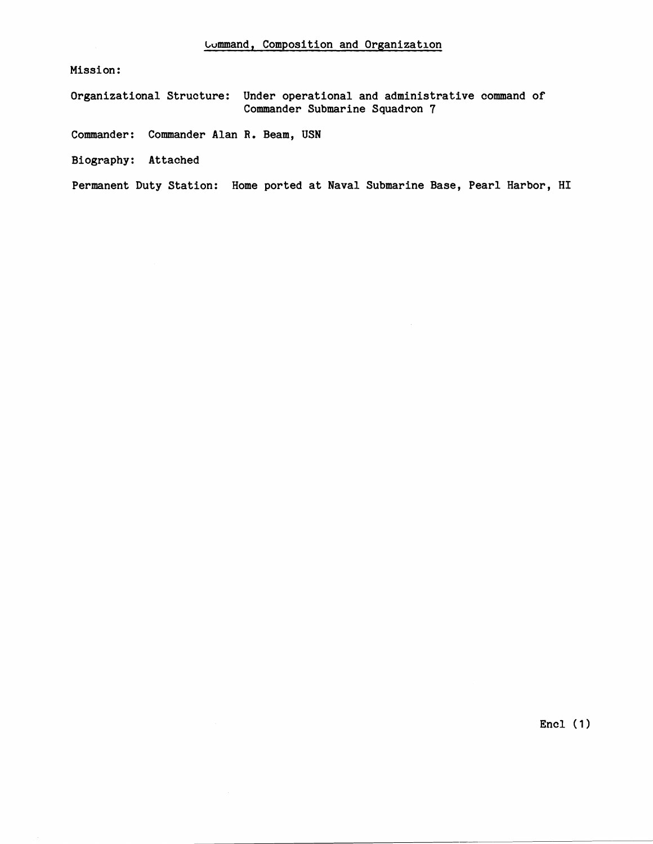**Mission** :

**Organizational Structure: Under operational and administrative command of Commander Submarine Squadron 7** 

**Commander: Commander Alan R. Beam, USN** 

**Biography: Attached** 

**Permanent Duty Station: Home ported at Naval Submarine Base, Pearl Harbor, HI** 

**Encl** (1)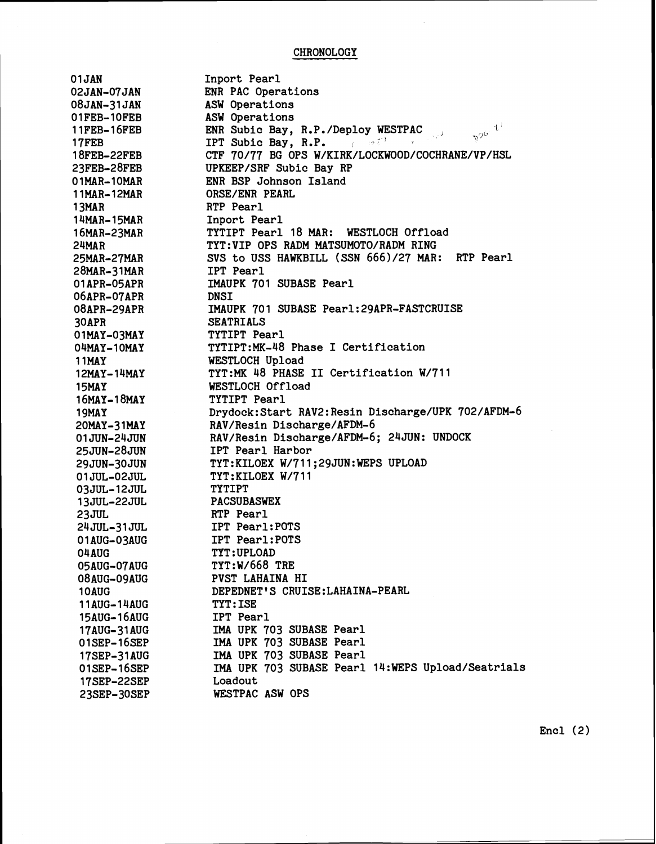## CHRONOLOGY

 $\mathcal{A}^{\mathcal{A}}$ 

| 01JAN              | Inport Pearl                                                                                                    |
|--------------------|-----------------------------------------------------------------------------------------------------------------|
| <b>02JAN-07JAN</b> | ENR PAC Operations                                                                                              |
| 08JAN-31JAN        | ASW Operations                                                                                                  |
| 01FEB-10FEB        | ASW Operations                                                                                                  |
| $11$ FEB- $16$ FEB | $\gamma^{g\bar{g}'}$ $\bar{\tau}^{\bar{\tau}}$<br>ENR Subic Bay, R.P./Deploy WESTPAC<br>$\zeta_{\rm T} \vec{J}$ |
| <b>17FEB</b>       | IPT Subic Bay, R.P. (1967)                                                                                      |
| 18FEB-22FEB        | CTF 70/77 BG OPS W/KIRK/LOCKWOOD/COCHRANE/VP/HSL                                                                |
| 23FEB-28FEB        | UPKEEP/SRF Subic Bay RP                                                                                         |
| 01MAR-10MAR        | ENR BSP Johnson Island                                                                                          |
| 11MAR-12MAR        | ORSE/ENR PEARL                                                                                                  |
| 13MAR              | RTP Pearl                                                                                                       |
| 14MAR-15MAR        | Inport Pearl                                                                                                    |
| 16MAR-23MAR        | TYTIPT Pearl 18 MAR: WESTLOCH Offload                                                                           |
| 24MAR              | TYT:VIP OPS RADM MATSUMOTO/RADM RING                                                                            |
| 25MAR-27MAR        | SVS to USS HAWKBILL (SSN 666)/27 MAR: RTP Pearl                                                                 |
| 28MAR-31MAR        | <b>IPT</b> Pearl                                                                                                |
| 01APR-05APR        | IMAUPK 701 SUBASE Pearl                                                                                         |
| 06APR-07APR        | <b>DNSI</b>                                                                                                     |
| 08APR-29APR        | IMAUPK 701 SUBASE Pearl: 29APR-FASTCRUISE                                                                       |
| 30APR              | <b>SEATRIALS</b>                                                                                                |
| 01MAY-03MAY        | TYTIPT Pearl                                                                                                    |
| <b>O4MAY-10MAY</b> | TYTIPT:MK-48 Phase I Certification                                                                              |
| <b>11MAY</b>       | WESTLOCH Upload                                                                                                 |
| 12MAY-14MAY        | TYT:MK 48 PHASE II Certification W/711                                                                          |
| 15MAY              | WESTLOCH Offload                                                                                                |
| 16MAY-18MAY        | TYTIPT Pearl                                                                                                    |
| <b>19MAY</b>       | Drydock: Start RAV2: Resin Discharge/UPK 702/AFDM-6                                                             |
| 20MAY-31MAY        | RAV/Resin Discharge/AFDM-6                                                                                      |
| 01JUN-24JUN        | RAV/Resin Discharge/AFDM-6; 24JUN: UNDOCK                                                                       |
| 25JUN-28JUN        | IPT Pearl Harbor                                                                                                |
| 29JUN-30JUN        | TYT:KILOEX W/711;29JUN:WEPS UPLOAD                                                                              |
| 01JUL-02JUL        | TYT:KILOEX W/711                                                                                                |
| 03JUL-12JUL        | <b>TYTIPT</b>                                                                                                   |
| <b>13JUL-22JUL</b> | <b>PACSUBASWEX</b>                                                                                              |
| 23JUL              | RTP Pearl                                                                                                       |
| 24JUL-31JUL        | IPT Pearl: POTS                                                                                                 |
| 01AUG-03AUG        | IPT Pearl: POTS                                                                                                 |
| 04AUG              | TYT: UPLOAD                                                                                                     |
| 05AUG-07AUG        | <b>TYT:W/668 TRE</b>                                                                                            |
| 08AUG-09AUG        | PVST LAHAINA HI                                                                                                 |
| 10AUG              | DEPEDNET'S CRUISE: LAHAINA-PEARL                                                                                |
| 11AUG-14AUG        | <b>TYT: ISE</b>                                                                                                 |
| 15AUG-16AUG        | IPT Pearl                                                                                                       |
| 17AUG-31AUG        | IMA UPK 703 SUBASE Pearl                                                                                        |
| 01SEP-16SEP        | IMA UPK 703 SUBASE Pearl                                                                                        |
| 17SEP-31AUG        | IMA UPK 703 SUBASE Pearl                                                                                        |
| 01SEP-16SEP        | IMA UPK 703 SUBASE Pearl 14:WEPS Upload/Seatrials                                                               |
| 17SEP-22SEP        | Loadout                                                                                                         |
| 23SEP-30SEP        | WESTPAC ASW OPS                                                                                                 |

Encl (2)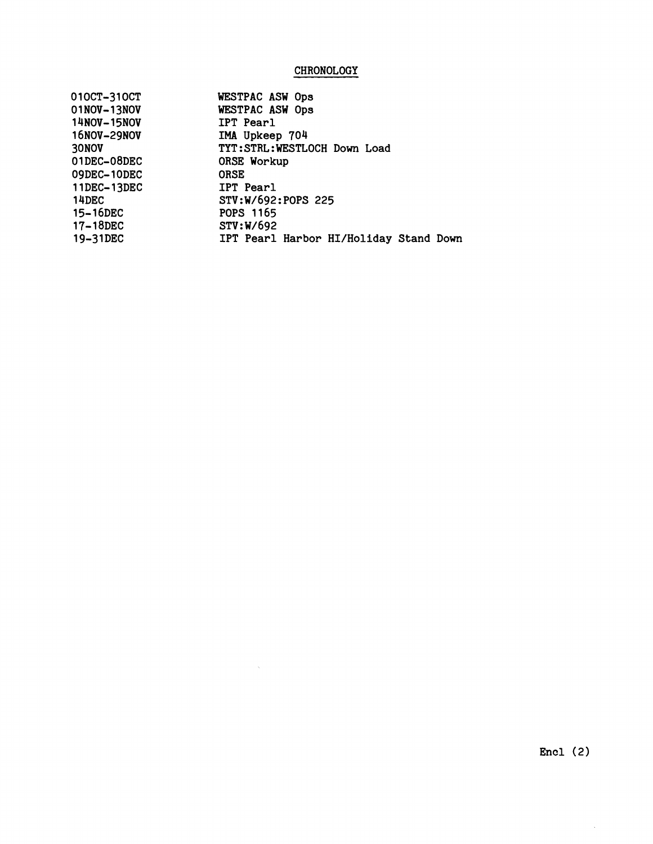## **CHRONOLOGY**

| 010CT-310CT | WESTPAC ASW Ops                        |
|-------------|----------------------------------------|
| 01NOV-13NOV | WESTPAC ASW Ops                        |
| 14NOV-15NOV | IPT Pearl                              |
| 16NOV-29NOV | IMA Upkeep 704                         |
| 30NOV       | TYT:STRL:WESTLOCH Down Load            |
| 01DEC-08DEC | ORSE Workup                            |
| 09DEC-10DEC | <b>ORSE</b>                            |
| 11DEC-13DEC | <b>IPT</b> Pearl                       |
| 14DEC       | STV:W/692:POPS 225                     |
| 15-16DEC    | <b>POPS 1165</b>                       |
| 17-18DEC    | STV:W/692                              |
| 19-31DEC    | IPT Pearl Harbor HI/Holiday Stand Down |
|             |                                        |

 $\sim 80$ 

 $\mathbb{R}^d$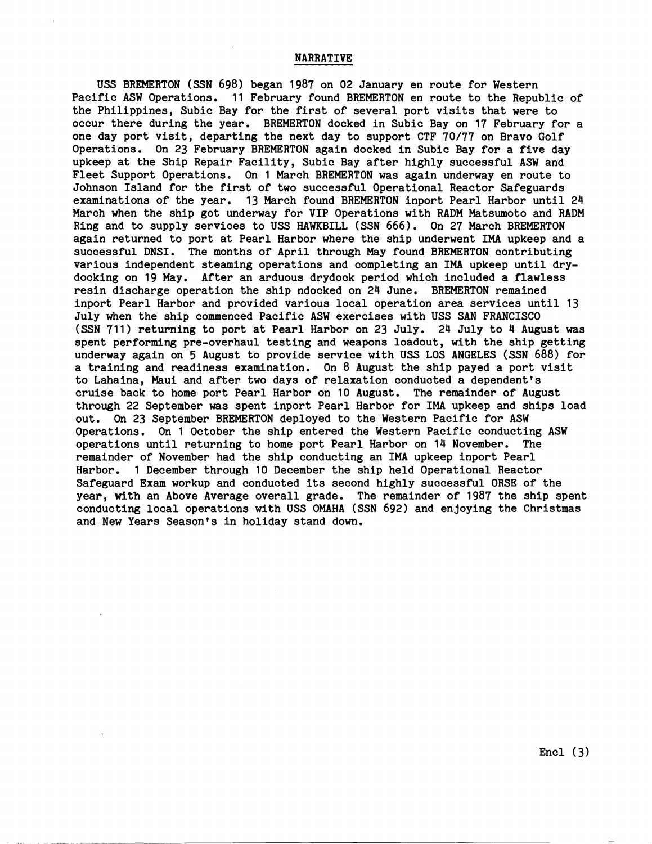USS BREMERTON (SSN **698)** began **1987** on **02** January en route for Western Pacific ASW Operations. **11** February found BREMERTON en route to the Republic of the Philippines, Subic Bay for the first of several port visits that were to occur there during the year. BREMERTON docked in Subic Bay on **17** February for a one day port visit, departing the next day to support CTF **70/77** on Bravo Golf Operations. On **23** February BREMERTON again docked in Subic Bay for a five day upkeep at the Ship Repair Facility, Subic Bay after highly successful ASW and Fleet Support Operations. On **1** March BREMERTON was again underway en route to Johnson Island for the first of two successful Operational Reactor Safeguards examinations of the year. **13** March found BREMERTON inport Pearl Harbor until **24**  March when the ship got underway for VIP Operations with RADM Matsumoto and RADM Ring and to supply services to USS HAWKBILL (SSN **666).** On **27** March BREMERTON again returned to port at Pearl Harbor where the ship underwent IMA upkeep and a successful DNSI. The months of April through May found BREMERTON contributing various independent steaming operations and completing an IMA upkeep until drydocking on **19** May. After an arduous drydock period which included a flawless resin discharge operation the ship ndocked on **24** June. BREMERTON remained inport Pearl Harbor and provided various local operation area services until **13**  July when the ship commenced Pacific ASW exercises with USS SAN FRANCISCO (SSN **711)** returning to port at Pearl Harbor on **23** July. **24** July to **4** August was spent performing pre-overhaul testing and weapons loadout, with the ship getting underway again on 5 August to provide service with USS LOS ANGELES (SSN **688)** for a training and readiness examination. On **8** August the ship payed a port visit to Lahaina, Maui and after two days of relaxation conducted a dependent's cruise back to home port Pearl Harbor on **10** August. The remainder of August through **22** September was spent inport Pearl Harbor for IMA upkeep and ships load out. On **23** September BREMERTON deployed to the Western Pacific for ASW Operations. On **1** October the ship entered the Western Pacific conducting ASW operations until returning to home port Pearl Harbor on **14** November. The remainder of November had the ship conducting an IMA upkeep inport Pearl Harbor. **1** December through **10** December the ship held Operational Reactor Safeguard Exam workup and conducted its second highly successful ORSE of the year, **wfth** an Above Average overall grade. The remainder of **1987** the ship spent conducting local operations with USS OMAHA (SSN **692)** and enjoying the Christmas and New Years Season's in holiday stand down.